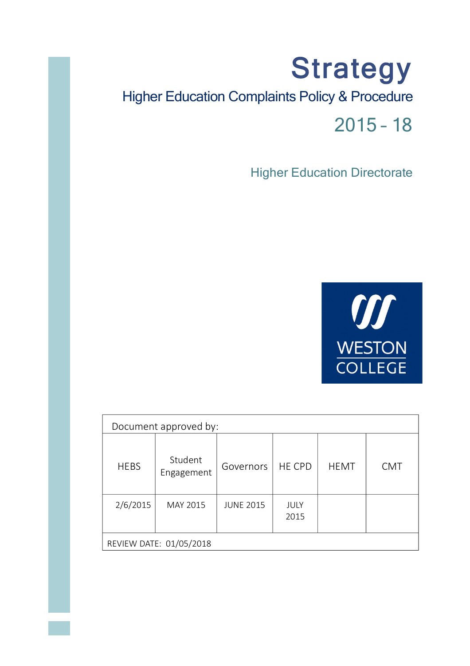# **Strategy** Higher Education Complaints Policy & Procedure 2015 – 18

**Higher Education Directorate** 



|                         | Document approved by: |                  |               |             |            |
|-------------------------|-----------------------|------------------|---------------|-------------|------------|
| <b>HEBS</b>             | Student<br>Engagement | Governors        | <b>HE CPD</b> | <b>HEMT</b> | <b>CMT</b> |
| 2/6/2015                | MAY 2015              | <b>JUNE 2015</b> | JULY<br>2015  |             |            |
| REVIEW DATE: 01/05/2018 |                       |                  |               |             |            |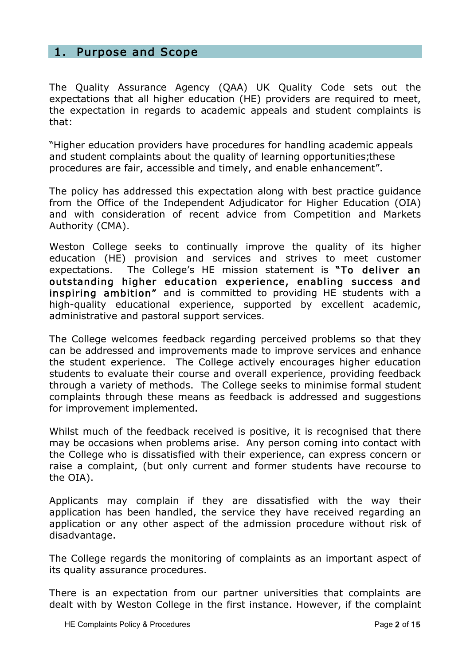# 1. Purpose and Scope

The Quality Assurance Agency (QAA) UK Quality Code sets out the expectations that all higher education (HE) providers are required to meet, the expectation in regards to academic appeals and student complaints is that:

"Higher education providers have procedures for handling academic appeals and student complaints about the quality of learning opportunities; these procedures are fair, accessible and timely, and enable enhancement".

The policy has addressed this expectation along with best practice guidance from the Office of the Independent Adjudicator for Higher Education (OIA) and with consideration of recent advice from Competition and Markets Authority (CMA).

Weston College seeks to continually improve the quality of its higher education (HE) provision and services and strives to meet customer expectations. The College's HE mission statement is "To deliver an outstanding higher education experience, enabling success and inspiring ambition" and is committed to providing HE students with a high-quality educational experience, supported by excellent academic, administrative and pastoral support services.

The College welcomes feedback regarding perceived problems so that they can be addressed and improvements made to improve services and enhance the student experience. The College actively encourages higher education students to evaluate their course and overall experience, providing feedback through a variety of methods. The College seeks to minimise formal student complaints through these means as feedback is addressed and suggestions for improvement implemented.

Whilst much of the feedback received is positive, it is recognised that there may be occasions when problems arise. Any person coming into contact with the College who is dissatisfied with their experience, can express concern or raise a complaint, (but only current and former students have recourse to the OIA).

Applicants may complain if they are dissatisfied with the way their application has been handled, the service they have received regarding an application or any other aspect of the admission procedure without risk of disadvantage.

The College regards the monitoring of complaints as an important aspect of its quality assurance procedures.

There is an expectation from our partner universities that complaints are dealt with by Weston College in the first instance. However, if the complaint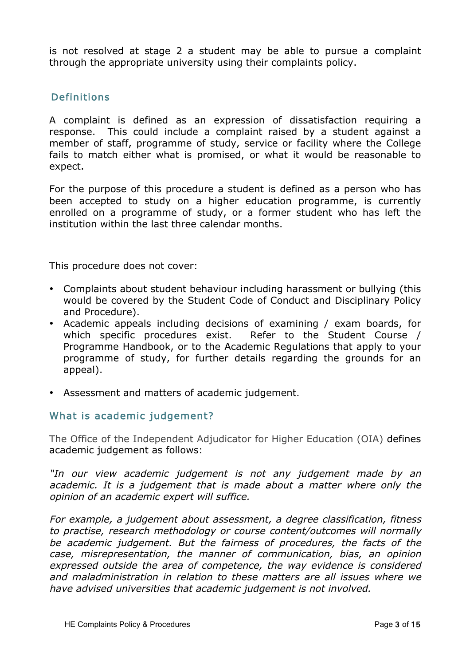is not resolved at stage 2 a student may be able to pursue a complaint through the appropriate university using their complaints policy.

# Definitions

A complaint is defined as an expression of dissatisfaction requiring a response. This could include a complaint raised by a student against a member of staff, programme of study, service or facility where the College fails to match either what is promised, or what it would be reasonable to expect.

For the purpose of this procedure a student is defined as a person who has been accepted to study on a higher education programme, is currently enrolled on a programme of study, or a former student who has left the institution within the last three calendar months.

This procedure does not cover:

- Complaints about student behaviour including harassment or bullying (this would be covered by the Student Code of Conduct and Disciplinary Policy and Procedure).
- Academic appeals including decisions of examining / exam boards, for which specific procedures exist. Refer to the Student Course / Programme Handbook, or to the Academic Regulations that apply to your programme of study, for further details regarding the grounds for an appeal).
- Assessment and matters of academic judgement.

## What is academic judgement?

The Office of the Independent Adjudicator for Higher Education (OIA) defines academic judgement as follows:

"In our view academic judgement is not any judgement made by an academic. It is a judgement that is made about a matter where only the opinion of an academic expert will suffice.

For example, a judgement about assessment, a degree classification, fitness to practise, research methodology or course content/outcomes will normally be academic judgement. But the fairness of procedures, the facts of the case, misrepresentation, the manner of communication, bias, an opinion expressed outside the area of competence, the way evidence is considered and maladministration in relation to these matters are all issues where we have advised universities that academic judgement is not involved.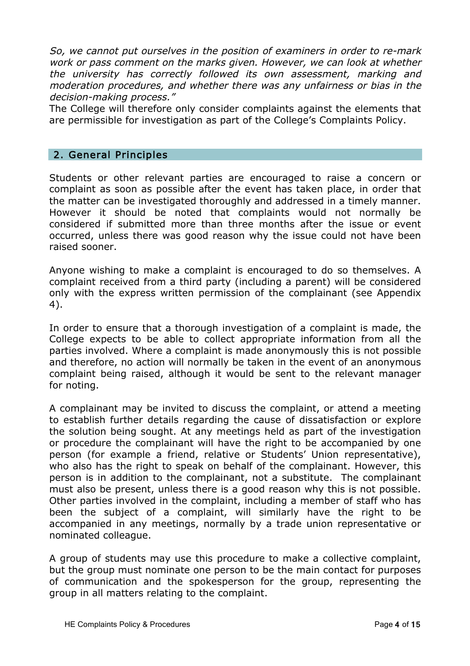So, we cannot put ourselves in the position of examiners in order to re-mark work or pass comment on the marks given. However, we can look at whether the university has correctly followed its own assessment, marking and moderation procedures, and whether there was any unfairness or bias in the decision-making process."

The College will therefore only consider complaints against the elements that are permissible for investigation as part of the College's Complaints Policy.

#### 2. General Principles

Students or other relevant parties are encouraged to raise a concern or complaint as soon as possible after the event has taken place, in order that the matter can be investigated thoroughly and addressed in a timely manner. However it should be noted that complaints would not normally be considered if submitted more than three months after the issue or event occurred, unless there was good reason why the issue could not have been raised sooner.

Anyone wishing to make a complaint is encouraged to do so themselves. A complaint received from a third party (including a parent) will be considered only with the express written permission of the complainant (see Appendix 4).

In order to ensure that a thorough investigation of a complaint is made, the College expects to be able to collect appropriate information from all the parties involved. Where a complaint is made anonymously this is not possible and therefore, no action will normally be taken in the event of an anonymous complaint being raised, although it would be sent to the relevant manager for noting.

A complainant may be invited to discuss the complaint, or attend a meeting to establish further details regarding the cause of dissatisfaction or explore the solution being sought. At any meetings held as part of the investigation or procedure the complainant will have the right to be accompanied by one person (for example a friend, relative or Students' Union representative), who also has the right to speak on behalf of the complainant. However, this person is in addition to the complainant, not a substitute. The complainant must also be present, unless there is a good reason why this is not possible. Other parties involved in the complaint, including a member of staff who has been the subject of a complaint, will similarly have the right to be accompanied in any meetings, normally by a trade union representative or nominated colleague.

A group of students may use this procedure to make a collective complaint, but the group must nominate one person to be the main contact for purposes of communication and the spokesperson for the group, representing the group in all matters relating to the complaint.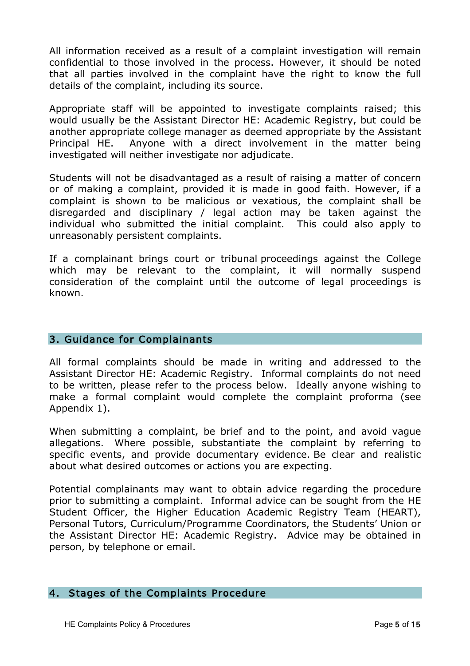All information received as a result of a complaint investigation will remain confidential to those involved in the process. However, it should be noted that all parties involved in the complaint have the right to know the full details of the complaint, including its source.

Appropriate staff will be appointed to investigate complaints raised; this would usually be the Assistant Director HE: Academic Registry, but could be another appropriate college manager as deemed appropriate by the Assistant Principal HE. Anyone with a direct involvement in the matter being investigated will neither investigate nor adjudicate.

Students will not be disadvantaged as a result of raising a matter of concern or of making a complaint, provided it is made in good faith. However, if a complaint is shown to be malicious or vexatious, the complaint shall be disregarded and disciplinary / legal action may be taken against the individual who submitted the initial complaint. This could also apply to unreasonably persistent complaints.

If a complainant brings court or tribunal proceedings against the College which may be relevant to the complaint, it will normally suspend consideration of the complaint until the outcome of legal proceedings is known.

## 3. Guidance for Complainants

All formal complaints should be made in writing and addressed to the Assistant Director HE: Academic Registry. Informal complaints do not need to be written, please refer to the process below. Ideally anyone wishing to make a formal complaint would complete the complaint proforma (see Appendix 1).

When submitting a complaint, be brief and to the point, and avoid vague allegations. Where possible, substantiate the complaint by referring to specific events, and provide documentary evidence. Be clear and realistic about what desired outcomes or actions you are expecting.

Potential complainants may want to obtain advice regarding the procedure prior to submitting a complaint. Informal advice can be sought from the HE Student Officer, the Higher Education Academic Registry Team (HEART), Personal Tutors, Curriculum/Programme Coordinators, the Students' Union or the Assistant Director HE: Academic Registry. Advice may be obtained in person, by telephone or email.

#### 4. Stages of the Complaints Procedure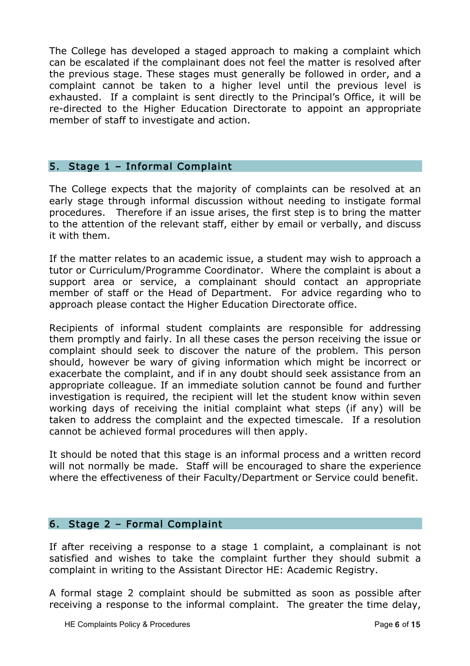The College has developed a staged approach to making a complaint which can be escalated if the complainant does not feel the matter is resolved after the previous stage. These stages must generally be followed in order, and a complaint cannot be taken to a higher level until the previous level is exhausted. If a complaint is sent directly to the Principal's Office, it will be re-directed to the Higher Education Directorate to appoint an appropriate member of staff to investigate and action.

#### 5. Stage 1 – Informal Complaint

The College expects that the majority of complaints can be resolved at an early stage through informal discussion without needing to instigate formal procedures. Therefore if an issue arises, the first step is to bring the matter to the attention of the relevant staff, either by email or verbally, and discuss it with them.

If the matter relates to an academic issue, a student may wish to approach a tutor or Curriculum/Programme Coordinator. Where the complaint is about a support area or service, a complainant should contact an appropriate member of staff or the Head of Department. For advice regarding who to approach please contact the Higher Education Directorate office.

Recipients of informal student complaints are responsible for addressing them promptly and fairly. In all these cases the person receiving the issue or complaint should seek to discover the nature of the problem. This person should, however be wary of giving information which might be incorrect or exacerbate the complaint, and if in any doubt should seek assistance from an appropriate colleague. If an immediate solution cannot be found and further investigation is required, the recipient will let the student know within seven working days of receiving the initial complaint what steps (if any) will be taken to address the complaint and the expected timescale. If a resolution cannot be achieved formal procedures will then apply.

It should be noted that this stage is an informal process and a written record will not normally be made. Staff will be encouraged to share the experience where the effectiveness of their Faculty/Department or Service could benefit.

#### 6. Stage 2 – Formal Complaint

If after receiving a response to a stage 1 complaint, a complainant is not satisfied and wishes to take the complaint further they should submit a complaint in writing to the Assistant Director HE: Academic Registry.

A formal stage 2 complaint should be submitted as soon as possible after receiving a response to the informal complaint. The greater the time delay,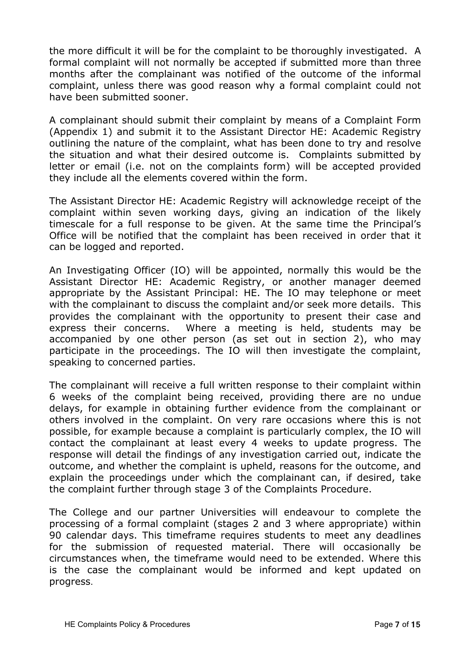the more difficult it will be for the complaint to be thoroughly investigated. A formal complaint will not normally be accepted if submitted more than three months after the complainant was notified of the outcome of the informal complaint, unless there was good reason why a formal complaint could not have been submitted sooner.

A complainant should submit their complaint by means of a Complaint Form (Appendix 1) and submit it to the Assistant Director HE: Academic Registry outlining the nature of the complaint, what has been done to try and resolve the situation and what their desired outcome is. Complaints submitted by letter or email (i.e. not on the complaints form) will be accepted provided they include all the elements covered within the form.

The Assistant Director HE: Academic Registry will acknowledge receipt of the complaint within seven working days, giving an indication of the likely timescale for a full response to be given. At the same time the Principal's Office will be notified that the complaint has been received in order that it can be logged and reported.

An Investigating Officer (IO) will be appointed, normally this would be the Assistant Director HE: Academic Registry, or another manager deemed appropriate by the Assistant Principal: HE. The IO may telephone or meet with the complainant to discuss the complaint and/or seek more details. This provides the complainant with the opportunity to present their case and express their concerns. Where a meeting is held, students may be accompanied by one other person (as set out in section 2), who may participate in the proceedings. The IO will then investigate the complaint, speaking to concerned parties.

The complainant will receive a full written response to their complaint within 6 weeks of the complaint being received, providing there are no undue delays, for example in obtaining further evidence from the complainant or others involved in the complaint. On very rare occasions where this is not possible, for example because a complaint is particularly complex, the IO will contact the complainant at least every 4 weeks to update progress. The response will detail the findings of any investigation carried out, indicate the outcome, and whether the complaint is upheld, reasons for the outcome, and explain the proceedings under which the complainant can, if desired, take the complaint further through stage 3 of the Complaints Procedure.

The College and our partner Universities will endeavour to complete the processing of a formal complaint (stages 2 and 3 where appropriate) within 90 calendar days. This timeframe requires students to meet any deadlines for the submission of requested material. There will occasionally be circumstances when, the timeframe would need to be extended. Where this is the case the complainant would be informed and kept updated on progress.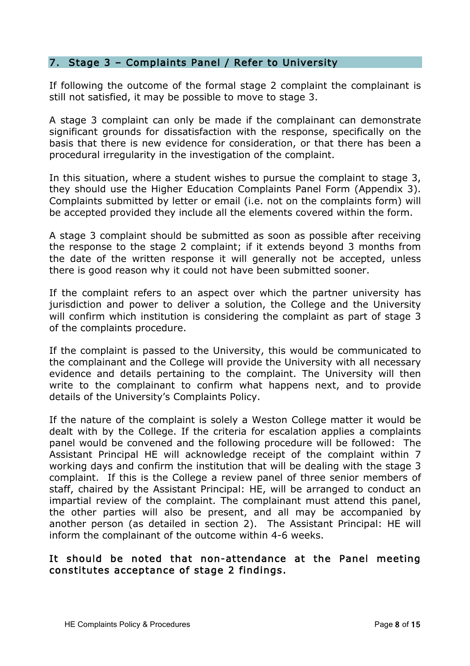#### 7. Stage 3 – Complaints Panel / Refer to University

If following the outcome of the formal stage 2 complaint the complainant is still not satisfied, it may be possible to move to stage 3.

A stage 3 complaint can only be made if the complainant can demonstrate significant grounds for dissatisfaction with the response, specifically on the basis that there is new evidence for consideration, or that there has been a procedural irregularity in the investigation of the complaint.

In this situation, where a student wishes to pursue the complaint to stage 3, they should use the Higher Education Complaints Panel Form (Appendix 3). Complaints submitted by letter or email (i.e. not on the complaints form) will be accepted provided they include all the elements covered within the form.

A stage 3 complaint should be submitted as soon as possible after receiving the response to the stage 2 complaint; if it extends beyond 3 months from the date of the written response it will generally not be accepted, unless there is good reason why it could not have been submitted sooner.

If the complaint refers to an aspect over which the partner university has jurisdiction and power to deliver a solution, the College and the University will confirm which institution is considering the complaint as part of stage 3 of the complaints procedure.

If the complaint is passed to the University, this would be communicated to the complainant and the College will provide the University with all necessary evidence and details pertaining to the complaint. The University will then write to the complainant to confirm what happens next, and to provide details of the University's Complaints Policy.

If the nature of the complaint is solely a Weston College matter it would be dealt with by the College. If the criteria for escalation applies a complaints panel would be convened and the following procedure will be followed: The Assistant Principal HE will acknowledge receipt of the complaint within 7 working days and confirm the institution that will be dealing with the stage 3 complaint. If this is the College a review panel of three senior members of staff, chaired by the Assistant Principal: HE, will be arranged to conduct an impartial review of the complaint. The complainant must attend this panel, the other parties will also be present, and all may be accompanied by another person (as detailed in section 2). The Assistant Principal: HE will inform the complainant of the outcome within 4-6 weeks.

## It should be noted that non-attendance at the Panel meeting constitutes acceptance of stage 2 findings.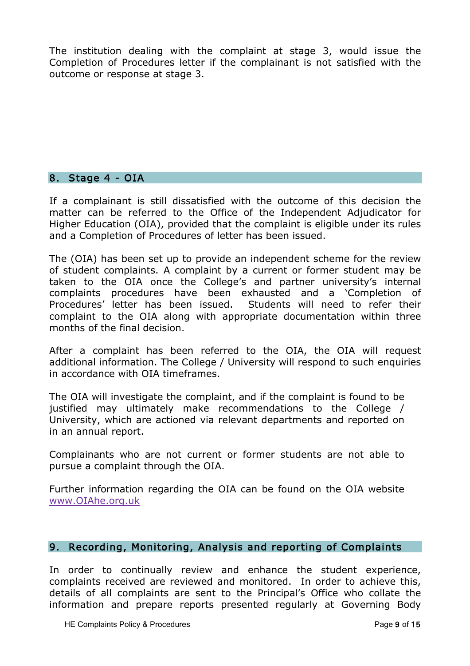The institution dealing with the complaint at stage 3, would issue the Completion of Procedures letter if the complainant is not satisfied with the outcome or response at stage 3.

#### 8. Stage 4 - OIA

If a complainant is still dissatisfied with the outcome of this decision the matter can be referred to the Office of the Independent Adjudicator for Higher Education (OIA), provided that the complaint is eligible under its rules and a Completion of Procedures of letter has been issued.

The (OIA) has been set up to provide an independent scheme for the review of student complaints. A complaint by a current or former student may be taken to the OIA once the College's and partner university's internal complaints procedures have been exhausted and a 'Completion of Procedures' letter has been issued. Students will need to refer their complaint to the OIA along with appropriate documentation within three months of the final decision.

After a complaint has been referred to the OIA, the OIA will request additional information. The College / University will respond to such enquiries in accordance with OIA timeframes.

The OIA will investigate the complaint, and if the complaint is found to be justified may ultimately make recommendations to the College / University, which are actioned via relevant departments and reported on in an annual report.

Complainants who are not current or former students are not able to pursue a complaint through the OIA.

Further information regarding the OIA can be found on the OIA website [www.OIAhe.org.uk](http://www.oiahe.org.uk)

## 9. Recording, Monitoring, Analysis and reporting of Complaints

In order to continually review and enhance the student experience, complaints received are reviewed and monitored. In order to achieve this, details of all complaints are sent to the Principal's Office who collate the information and prepare reports presented regularly at Governing Body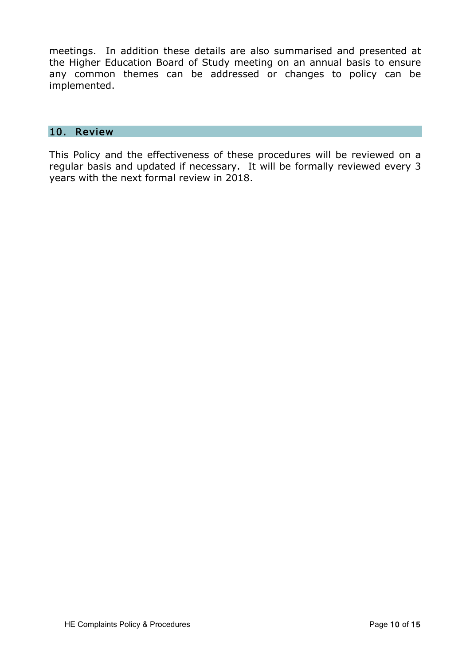meetings. In addition these details are also summarised and presented at the Higher Education Board of Study meeting on an annual basis to ensure any common themes can be addressed or changes to policy can be implemented.

#### 10. Review

This Policy and the effectiveness of these procedures will be reviewed on a regular basis and updated if necessary. It will be formally reviewed every 3 years with the next formal review in 2018.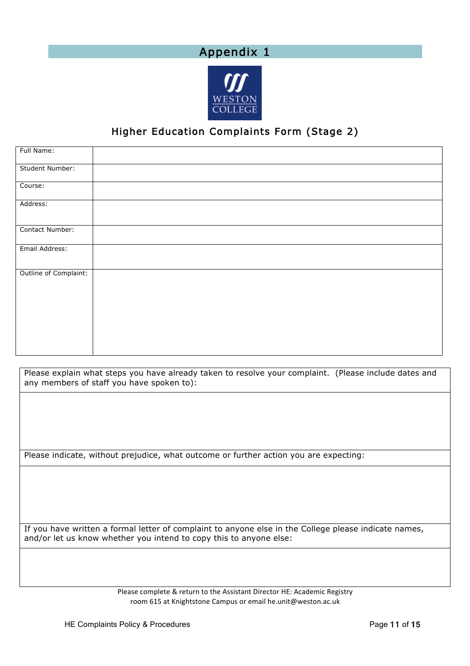# Appendix 1



# Higher Education Complaints Form (Stage 2)

| Full Name:            |  |
|-----------------------|--|
| Student Number:       |  |
| Course:               |  |
| Address:              |  |
| Contact Number:       |  |
| Email Address:        |  |
| Outline of Complaint: |  |

Please explain what steps you have already taken to resolve your complaint. (Please include dates and any members of staff you have spoken to):

Please indicate, without prejudice, what outcome or further action you are expecting:

If you have written a formal letter of complaint to anyone else in the College please indicate names, and/or let us know whether you intend to copy this to anyone else:

> Please complete & return to the Assistant Director HE: Academic Registry room 615 at Knightstone Campus or email he.unit@weston.ac.uk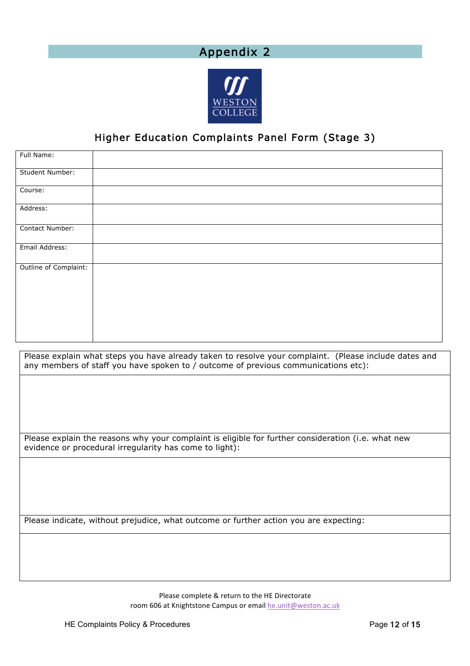# Appendix 2



# Higher Education Complaints Panel Form (Stage 3)

| Full Name:            |  |
|-----------------------|--|
| Student Number:       |  |
| Course:               |  |
| Address:              |  |
| Contact Number:       |  |
| Email Address:        |  |
| Outline of Complaint: |  |

Please explain what steps you have already taken to resolve your complaint. (Please include dates and any members of staff you have spoken to / outcome of previous communications etc):

Please explain the reasons why your complaint is eligible for further consideration (i.e. what new evidence or procedural irregularity has come to light):

Please indicate, without prejudice, what outcome or further action you are expecting:

Please complete & return to the HE Directorate room 606 at Knightstone Campus or email he.unit@weston.ac.uk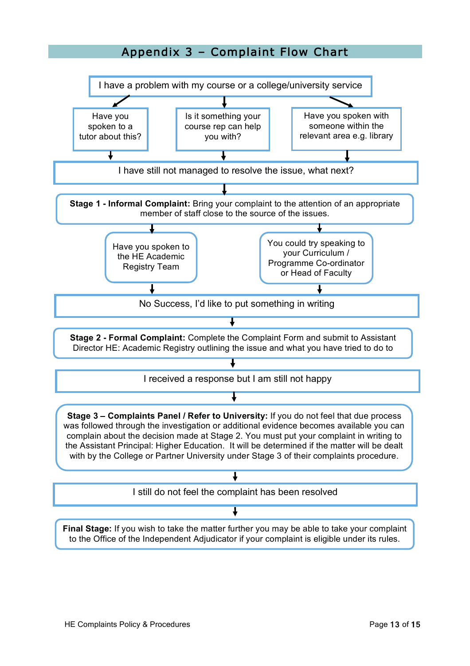# Appendix 3 – Complaint Flow Chart

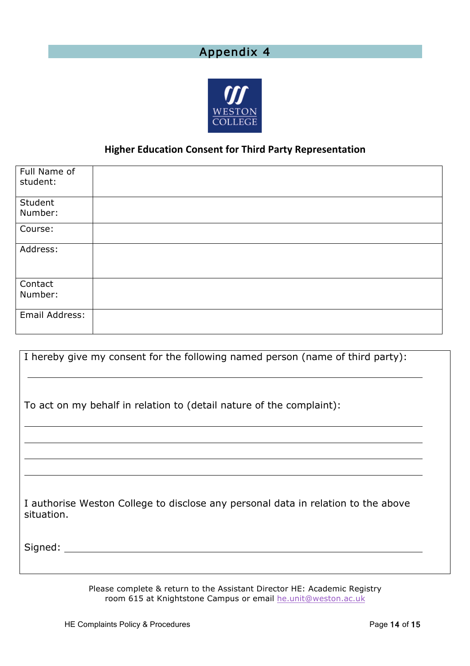# Appendix 4

![](_page_13_Picture_1.jpeg)

## **Higher Education Consent for Third Party Representation**

| Full Name of<br>student: |  |
|--------------------------|--|
| Student                  |  |
| Number:                  |  |
| Course:                  |  |
| Address:                 |  |
|                          |  |
| Contact                  |  |
| Number:                  |  |
|                          |  |
| Email Address:           |  |
|                          |  |

| I hereby give my consent for the following named person (name of third party):                  |
|-------------------------------------------------------------------------------------------------|
| To act on my behalf in relation to (detail nature of the complaint):                            |
|                                                                                                 |
|                                                                                                 |
| I authorise Weston College to disclose any personal data in relation to the above<br>situation. |
| Signed:                                                                                         |

Please complete & return to the Assistant Director HE: Academic Registry room 615 at Knightstone Campus or email [he.unit@weston.ac.uk](mailto:he.unit@weston.ac.uk)